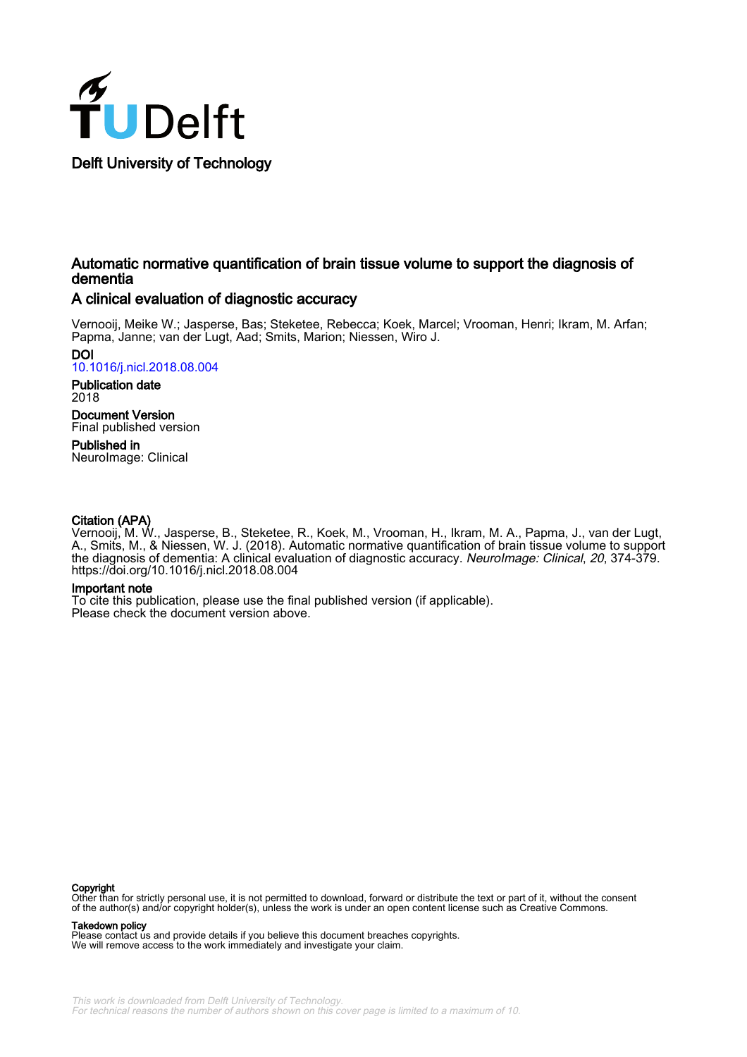

# Automatic normative quantification of brain tissue volume to support the diagnosis of dementia

# A clinical evaluation of diagnostic accuracy

Vernooij, Meike W.; Jasperse, Bas; Steketee, Rebecca; Koek, Marcel; Vrooman, Henri; Ikram, M. Arfan; Papma, Janne; van der Lugt, Aad; Smits, Marion; Niessen, Wiro J. DOI

[10.1016/j.nicl.2018.08.004](https://doi.org/10.1016/j.nicl.2018.08.004)

Publication date 2018 Document Version Final published version Published in

NeuroImage: Clinical

# Citation (APA)

Vernooij, M. W., Jasperse, B., Steketee, R., Koek, M., Vrooman, H., Ikram, M. A., Papma, J., van der Lugt, A., Smits, M., & Niessen, W. J. (2018). Automatic normative quantification of brain tissue volume to support the diagnosis of dementia: A clinical evaluation of diagnostic accuracy. NeuroImage: Clinical, 20, 374-379. <https://doi.org/10.1016/j.nicl.2018.08.004>

# Important note

To cite this publication, please use the final published version (if applicable). Please check the document version above.

# **Copyright**

Other than for strictly personal use, it is not permitted to download, forward or distribute the text or part of it, without the consent<br>of the author(s) and/or copyright holder(s), unless the work is under an open content

Takedown policy

Please contact us and provide details if you believe this document breaches copyrights. We will remove access to the work immediately and investigate your claim.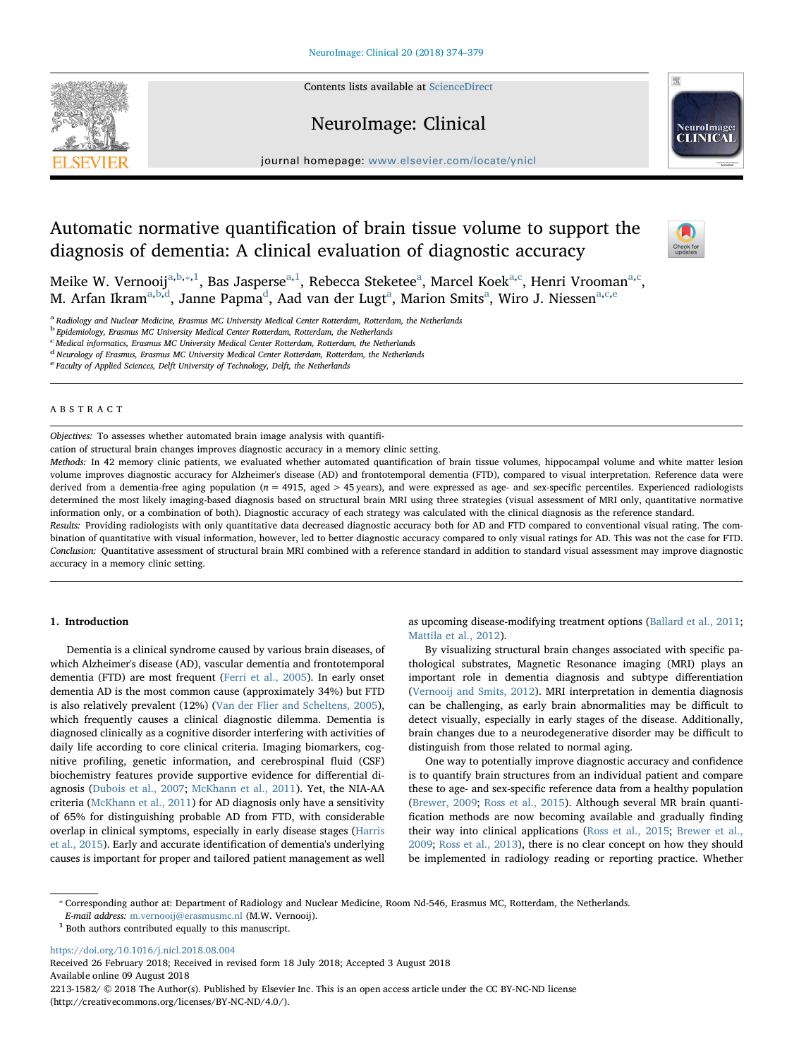Contents lists available at [ScienceDirect](http://www.sciencedirect.com/science/journal/22131582)







journal homepage: [www.elsevier.com/locate/ynicl](https://www.elsevier.com/locate/ynicl)

# Automatic normative quantification of brain tissue volume to support the diagnosis of dementia: A clinical evaluation of diagnostic accuracy



Meike W. Vernooij<sup>[a](#page-1-0)[,b,](#page-1-1)</sup>\*,<sup>1</sup>, Bas Jasperse<sup>a[,1](#page-1-3)</sup>, Rebecca Steketee<sup>a</sup>, Marcel Koek<sup>[a,](#page-1-0)c</sup>, Henri Vrooman<sup>a[,c](#page-1-4)</sup>, M. Arfan Ikram<sup>[a,](#page-1-0)[b](#page-1-1)[,d](#page-1-5)</sup>, Janne Papma<sup>[d](#page-1-5)</sup>, A[a](#page-1-0)d van der Lugt<sup>a</sup>, Marion Smits<sup>a</sup>, Wiro J. Niessen<sup>a,[c](#page-1-4),[e](#page-1-6)</sup>

<span id="page-1-0"></span><sup>a</sup> Radiology and Nuclear Medicine, Erasmus MC University Medical Center Rotterdam, Rotterdam, the Netherlands

<span id="page-1-1"></span><sup>b</sup> Epidemiology, Erasmus MC University Medical Center Rotterdam, Rotterdam, the Netherlands

<span id="page-1-4"></span>c Medical informatics, Erasmus MC University Medical Center Rotterdam, Rotterdam, the Netherlands

<span id="page-1-5"></span><sup>d</sup> Neurology of Erasmus, Erasmus MC University Medical Center Rotterdam, Rotterdam, the Netherlands

<span id="page-1-6"></span><sup>e</sup> Faculty of Applied Sciences, Delft University of Technology, Delft, the Netherlands

# ABSTRACT

Objectives: To assesses whether automated brain image analysis with quantifi-

cation of structural brain changes improves diagnostic accuracy in a memory clinic setting.

Methods: In 42 memory clinic patients, we evaluated whether automated quantification of brain tissue volumes, hippocampal volume and white matter lesion volume improves diagnostic accuracy for Alzheimer's disease (AD) and frontotemporal dementia (FTD), compared to visual interpretation. Reference data were derived from a dementia-free aging population (n = 4915, aged > 45 years), and were expressed as age- and sex-specific percentiles. Experienced radiologists determined the most likely imaging-based diagnosis based on structural brain MRI using three strategies (visual assessment of MRI only, quantitative normative information only, or a combination of both). Diagnostic accuracy of each strategy was calculated with the clinical diagnosis as the reference standard.

Results: Providing radiologists with only quantitative data decreased diagnostic accuracy both for AD and FTD compared to conventional visual rating. The combination of quantitative with visual information, however, led to better diagnostic accuracy compared to only visual ratings for AD. This was not the case for FTD. Conclusion: Quantitative assessment of structural brain MRI combined with a reference standard in addition to standard visual assessment may improve diagnostic accuracy in a memory clinic setting.

## 1. Introduction

Dementia is a clinical syndrome caused by various brain diseases, of which Alzheimer's disease (AD), vascular dementia and frontotemporal dementia (FTD) are most frequent [\(Ferri et al., 2005](#page-6-0)). In early onset dementia AD is the most common cause (approximately 34%) but FTD is also relatively prevalent (12%) [\(Van der Flier and Scheltens, 2005](#page-6-1)), which frequently causes a clinical diagnostic dilemma. Dementia is diagnosed clinically as a cognitive disorder interfering with activities of daily life according to core clinical criteria. Imaging biomarkers, cognitive profiling, genetic information, and cerebrospinal fluid (CSF) biochemistry features provide supportive evidence for differential diagnosis ([Dubois et al., 2007;](#page-6-2) [McKhann et al., 2011](#page-6-3)). Yet, the NIA-AA criteria [\(McKhann et al., 2011\)](#page-6-3) for AD diagnosis only have a sensitivity of 65% for distinguishing probable AD from FTD, with considerable overlap in clinical symptoms, especially in early disease stages ([Harris](#page-6-4) [et al., 2015](#page-6-4)). Early and accurate identification of dementia's underlying causes is important for proper and tailored patient management as well

as upcoming disease-modifying treatment options ([Ballard et al., 2011](#page-6-5); [Mattila et al., 2012](#page-6-6)).

By visualizing structural brain changes associated with specific pathological substrates, Magnetic Resonance imaging (MRI) plays an important role in dementia diagnosis and subtype differentiation ([Vernooij and Smits, 2012](#page-6-7)). MRI interpretation in dementia diagnosis can be challenging, as early brain abnormalities may be difficult to detect visually, especially in early stages of the disease. Additionally, brain changes due to a neurodegenerative disorder may be difficult to distinguish from those related to normal aging.

One way to potentially improve diagnostic accuracy and confidence is to quantify brain structures from an individual patient and compare these to age- and sex-specific reference data from a healthy population ([Brewer, 2009;](#page-6-8) [Ross et al., 2015\)](#page-6-9). Although several MR brain quantification methods are now becoming available and gradually finding their way into clinical applications ([Ross et al., 2015](#page-6-9); [Brewer et al.,](#page-6-10) [2009;](#page-6-10) [Ross et al., 2013\)](#page-6-11), there is no clear concept on how they should be implemented in radiology reading or reporting practice. Whether

<span id="page-1-2"></span>⁎ Corresponding author at: Department of Radiology and Nuclear Medicine, Room Nd-546, Erasmus MC, Rotterdam, the Netherlands.

<https://doi.org/10.1016/j.nicl.2018.08.004>

Received 26 February 2018; Received in revised form 18 July 2018; Accepted 3 August 2018 Available online 09 August 2018

2213-1582/ © 2018 The Author(s). Published by Elsevier Inc. This is an open access article under the CC BY-NC-ND license (http://creativecommons.org/licenses/BY-NC-ND/4.0/).

E-mail address: [m.vernooij@erasmusmc.nl](mailto:m.vernooij@erasmusmc.nl) (M.W. Vernooij).

<span id="page-1-3"></span> $^{\rm 1}$  Both authors contributed equally to this manuscript.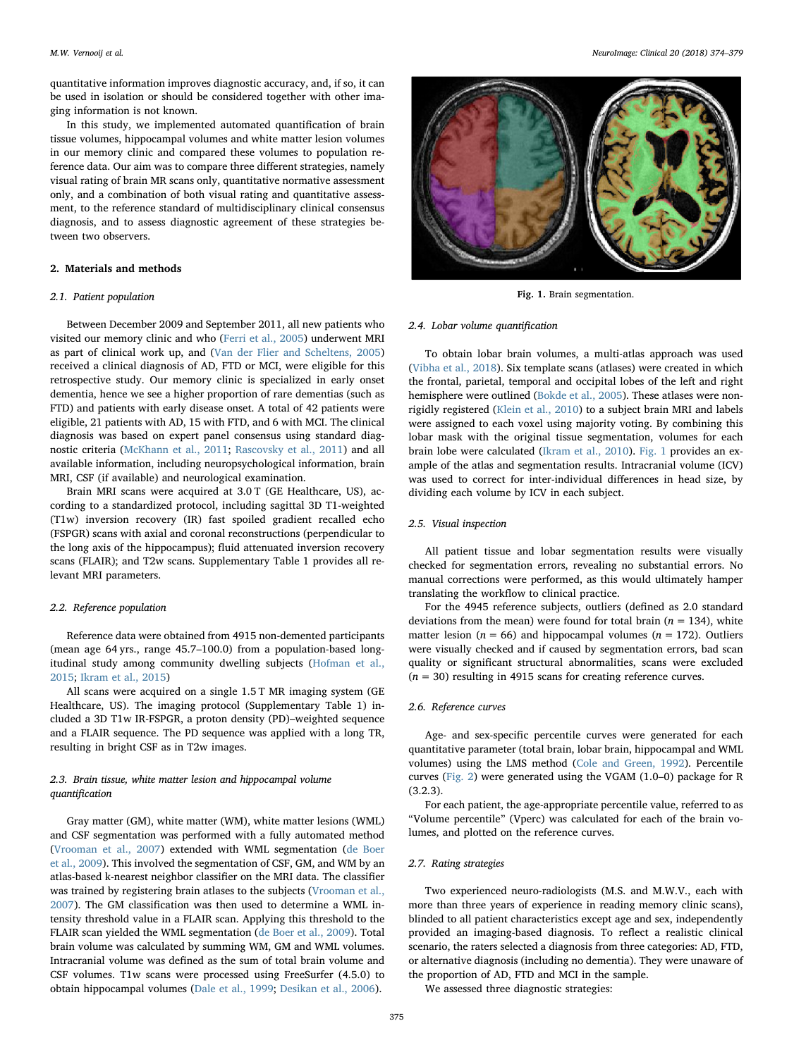quantitative information improves diagnostic accuracy, and, if so, it can be used in isolation or should be considered together with other imaging information is not known.

In this study, we implemented automated quantification of brain tissue volumes, hippocampal volumes and white matter lesion volumes in our memory clinic and compared these volumes to population reference data. Our aim was to compare three different strategies, namely visual rating of brain MR scans only, quantitative normative assessment only, and a combination of both visual rating and quantitative assessment, to the reference standard of multidisciplinary clinical consensus diagnosis, and to assess diagnostic agreement of these strategies between two observers.

# 2. Materials and methods

## 2.1. Patient population

Between December 2009 and September 2011, all new patients who visited our memory clinic and who ([Ferri et al., 2005\)](#page-6-0) underwent MRI as part of clinical work up, and ([Van der Flier and Scheltens, 2005\)](#page-6-1) received a clinical diagnosis of AD, FTD or MCI, were eligible for this retrospective study. Our memory clinic is specialized in early onset dementia, hence we see a higher proportion of rare dementias (such as FTD) and patients with early disease onset. A total of 42 patients were eligible, 21 patients with AD, 15 with FTD, and 6 with MCI. The clinical diagnosis was based on expert panel consensus using standard diagnostic criteria [\(McKhann et al., 2011](#page-6-3); [Rascovsky et al., 2011\)](#page-6-12) and all available information, including neuropsychological information, brain MRI, CSF (if available) and neurological examination.

Brain MRI scans were acquired at 3.0 T (GE Healthcare, US), according to a standardized protocol, including sagittal 3D T1-weighted (T1w) inversion recovery (IR) fast spoiled gradient recalled echo (FSPGR) scans with axial and coronal reconstructions (perpendicular to the long axis of the hippocampus); fluid attenuated inversion recovery scans (FLAIR); and T2w scans. Supplementary Table 1 provides all relevant MRI parameters.

#### 2.2. Reference population

Reference data were obtained from 4915 non-demented participants (mean age 64 yrs., range 45.7–100.0) from a population-based longitudinal study among community dwelling subjects ([Hofman et al.,](#page-6-13) [2015;](#page-6-13) [Ikram et al., 2015\)](#page-6-14)

All scans were acquired on a single 1.5 T MR imaging system (GE Healthcare, US). The imaging protocol (Supplementary Table 1) included a 3D T1w IR-FSPGR, a proton density (PD)–weighted sequence and a FLAIR sequence. The PD sequence was applied with a long TR, resulting in bright CSF as in T2w images.

# 2.3. Brain tissue, white matter lesion and hippocampal volume quantification

Gray matter (GM), white matter (WM), white matter lesions (WML) and CSF segmentation was performed with a fully automated method ([Vrooman et al., 2007](#page-6-15)) extended with WML segmentation [\(de Boer](#page-6-16) [et al., 2009\)](#page-6-16). This involved the segmentation of CSF, GM, and WM by an atlas-based k-nearest neighbor classifier on the MRI data. The classifier was trained by registering brain atlases to the subjects [\(Vrooman et al.,](#page-6-15) [2007\)](#page-6-15). The GM classification was then used to determine a WML intensity threshold value in a FLAIR scan. Applying this threshold to the FLAIR scan yielded the WML segmentation ([de Boer et al., 2009\)](#page-6-16). Total brain volume was calculated by summing WM, GM and WML volumes. Intracranial volume was defined as the sum of total brain volume and CSF volumes. T1w scans were processed using FreeSurfer (4.5.0) to obtain hippocampal volumes ([Dale et al., 1999](#page-6-17); [Desikan et al., 2006](#page-6-18)).

<span id="page-2-0"></span>

Fig. 1. Brain segmentation.

#### 2.4. Lobar volume quantification

To obtain lobar brain volumes, a multi-atlas approach was used ([Vibha et al., 2018\)](#page-6-19). Six template scans (atlases) were created in which the frontal, parietal, temporal and occipital lobes of the left and right hemisphere were outlined [\(Bokde et al., 2005\)](#page-6-20). These atlases were nonrigidly registered ([Klein et al., 2010](#page-6-21)) to a subject brain MRI and labels were assigned to each voxel using majority voting. By combining this lobar mask with the original tissue segmentation, volumes for each brain lobe were calculated [\(Ikram et al., 2010\)](#page-6-22). [Fig. 1](#page-2-0) provides an example of the atlas and segmentation results. Intracranial volume (ICV) was used to correct for inter-individual differences in head size, by dividing each volume by ICV in each subject.

# 2.5. Visual inspection

All patient tissue and lobar segmentation results were visually checked for segmentation errors, revealing no substantial errors. No manual corrections were performed, as this would ultimately hamper translating the workflow to clinical practice.

For the 4945 reference subjects, outliers (defined as 2.0 standard deviations from the mean) were found for total brain ( $n = 134$ ), white matter lesion ( $n = 66$ ) and hippocampal volumes ( $n = 172$ ). Outliers were visually checked and if caused by segmentation errors, bad scan quality or significant structural abnormalities, scans were excluded  $(n = 30)$  resulting in 4915 scans for creating reference curves.

### 2.6. Reference curves

Age- and sex-specific percentile curves were generated for each quantitative parameter (total brain, lobar brain, hippocampal and WML volumes) using the LMS method ([Cole and Green, 1992\)](#page-6-23). Percentile curves ([Fig. 2](#page-3-0)) were generated using the VGAM (1.0–0) package for R (3.2.3).

For each patient, the age-appropriate percentile value, referred to as "Volume percentile" (Vperc) was calculated for each of the brain volumes, and plotted on the reference curves.

# 2.7. Rating strategies

Two experienced neuro-radiologists (M.S. and M.W.V., each with more than three years of experience in reading memory clinic scans), blinded to all patient characteristics except age and sex, independently provided an imaging-based diagnosis. To reflect a realistic clinical scenario, the raters selected a diagnosis from three categories: AD, FTD, or alternative diagnosis (including no dementia). They were unaware of the proportion of AD, FTD and MCI in the sample.

We assessed three diagnostic strategies: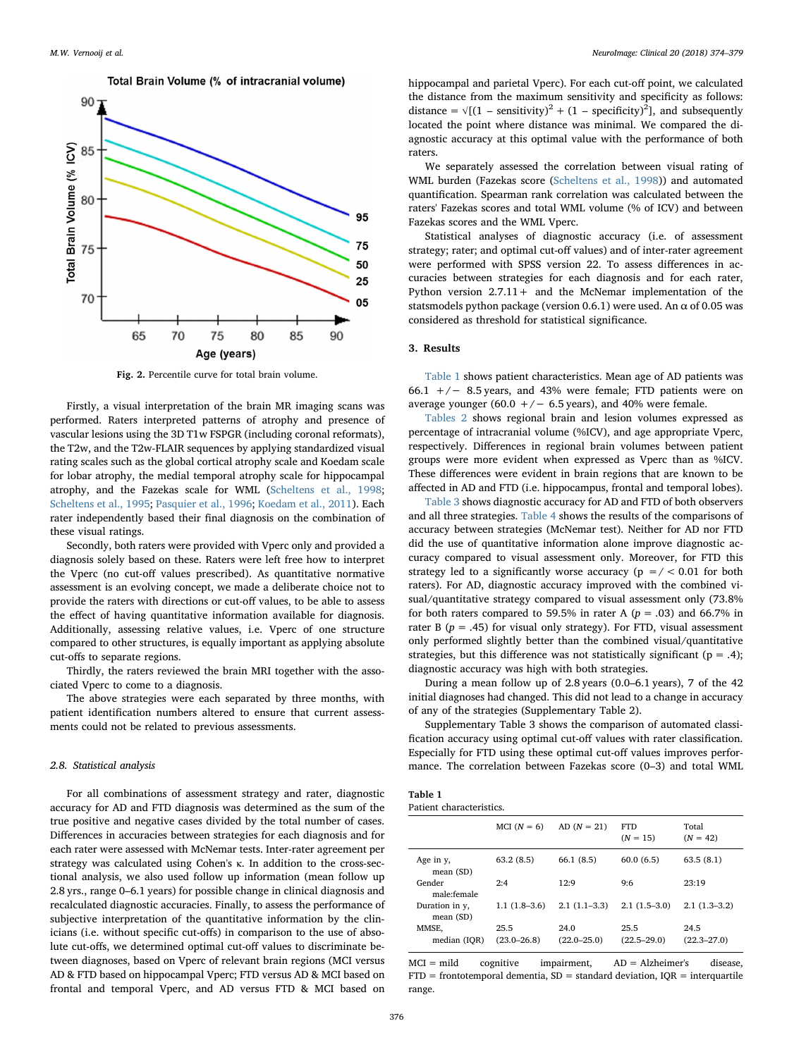<span id="page-3-0"></span>

Fig. 2. Percentile curve for total brain volume.

Firstly, a visual interpretation of the brain MR imaging scans was performed. Raters interpreted patterns of atrophy and presence of vascular lesions using the 3D T1w FSPGR (including coronal reformats), the T2w, and the T2w-FLAIR sequences by applying standardized visual rating scales such as the global cortical atrophy scale and Koedam scale for lobar atrophy, the medial temporal atrophy scale for hippocampal atrophy, and the Fazekas scale for WML ([Scheltens et al., 1998](#page-6-24); [Scheltens et al., 1995;](#page-6-25) [Pasquier et al., 1996](#page-6-26); [Koedam et al., 2011](#page-6-27)). Each rater independently based their final diagnosis on the combination of these visual ratings.

Secondly, both raters were provided with Vperc only and provided a diagnosis solely based on these. Raters were left free how to interpret the Vperc (no cut-off values prescribed). As quantitative normative assessment is an evolving concept, we made a deliberate choice not to provide the raters with directions or cut-off values, to be able to assess the effect of having quantitative information available for diagnosis. Additionally, assessing relative values, i.e. Vperc of one structure compared to other structures, is equally important as applying absolute cut-offs to separate regions.

Thirdly, the raters reviewed the brain MRI together with the associated Vperc to come to a diagnosis.

The above strategies were each separated by three months, with patient identification numbers altered to ensure that current assessments could not be related to previous assessments.

#### 2.8. Statistical analysis

For all combinations of assessment strategy and rater, diagnostic accuracy for AD and FTD diagnosis was determined as the sum of the true positive and negative cases divided by the total number of cases. Differences in accuracies between strategies for each diagnosis and for each rater were assessed with McNemar tests. Inter-rater agreement per strategy was calculated using Cohen's κ. In addition to the cross-sectional analysis, we also used follow up information (mean follow up 2.8 yrs., range 0–6.1 years) for possible change in clinical diagnosis and recalculated diagnostic accuracies. Finally, to assess the performance of subjective interpretation of the quantitative information by the clinicians (i.e. without specific cut-offs) in comparison to the use of absolute cut-offs, we determined optimal cut-off values to discriminate between diagnoses, based on Vperc of relevant brain regions (MCI versus AD & FTD based on hippocampal Vperc; FTD versus AD & MCI based on frontal and temporal Vperc, and AD versus FTD & MCI based on hippocampal and parietal Vperc). For each cut-off point, we calculated the distance from the maximum sensitivity and specificity as follows: distance =  $\sqrt{[(1 - \text{sensitivity})^2 + (1 - \text{specificity})^2]}$ , and subsequently located the point where distance was minimal. We compared the diagnostic accuracy at this optimal value with the performance of both raters.

We separately assessed the correlation between visual rating of WML burden (Fazekas score ([Scheltens et al., 1998](#page-6-24))) and automated quantification. Spearman rank correlation was calculated between the raters' Fazekas scores and total WML volume (% of ICV) and between Fazekas scores and the WML Vperc.

Statistical analyses of diagnostic accuracy (i.e. of assessment strategy; rater; and optimal cut-off values) and of inter-rater agreement were performed with SPSS version 22. To assess differences in accuracies between strategies for each diagnosis and for each rater, Python version  $2.7.11+$  and the McNemar implementation of the statsmodels python package (version 0.6.1) were used. An  $\alpha$  of 0.05 was considered as threshold for statistical significance.

## 3. Results

[Table 1](#page-3-1) shows patient characteristics. Mean age of AD patients was 66.1 +/− 8.5 years, and 43% were female; FTD patients were on average younger (60.0 +/- 6.5 years), and 40% were female.

[Tables 2](#page-4-0) shows regional brain and lesion volumes expressed as percentage of intracranial volume (%ICV), and age appropriate Vperc, respectively. Differences in regional brain volumes between patient groups were more evident when expressed as Vperc than as %ICV. These differences were evident in brain regions that are known to be affected in AD and FTD (i.e. hippocampus, frontal and temporal lobes).

[Table 3](#page-4-1) shows diagnostic accuracy for AD and FTD of both observers and all three strategies. [Table 4](#page-4-2) shows the results of the comparisons of accuracy between strategies (McNemar test). Neither for AD nor FTD did the use of quantitative information alone improve diagnostic accuracy compared to visual assessment only. Moreover, for FTD this strategy led to a significantly worse accuracy ( $p = / < 0.01$  for both raters). For AD, diagnostic accuracy improved with the combined visual/quantitative strategy compared to visual assessment only (73.8% for both raters compared to 59.5% in rater A ( $p = .03$ ) and 66.7% in rater B ( $p = .45$ ) for visual only strategy). For FTD, visual assessment only performed slightly better than the combined visual/quantitative strategies, but this difference was not statistically significant ( $p = .4$ ); diagnostic accuracy was high with both strategies.

During a mean follow up of 2.8 years (0.0–6.1 years), 7 of the 42 initial diagnoses had changed. This did not lead to a change in accuracy of any of the strategies (Supplementary Table 2).

Supplementary Table 3 shows the comparison of automated classification accuracy using optimal cut-off values with rater classification. Especially for FTD using these optimal cut-off values improves performance. The correlation between Fazekas score (0–3) and total WML

| rapie r                   |  |
|---------------------------|--|
| Dations above acceptation |  |

<span id="page-3-1"></span> $\overline{a}$ 

| Pauein characteristics. |
|-------------------------|
|                         |

|                             | $MCI(N = 6)$            | $AD(N = 21)$            | <b>FTD</b><br>$(N = 15)$ | Total<br>$(N = 42)$     |
|-----------------------------|-------------------------|-------------------------|--------------------------|-------------------------|
| Age in y.<br>mean (SD)      | 63.2(8.5)               | 66.1(8.5)               | 60.0(6.5)                | 63.5(8.1)               |
| Gender<br>male female       | 2:4                     | 12:9                    | 9:6                      | 23:19                   |
| Duration in y,<br>mean (SD) | $1.1(1.8-3.6)$          | $2.1(1.1-3.3)$          | $2.1(1.5-3.0)$           | $2.1(1.3-3.2)$          |
| MMSE,<br>median (IOR)       | 25.5<br>$(23.0 - 26.8)$ | 24.0<br>$(22.0 - 25.0)$ | 25.5<br>$(22.5 - 29.0)$  | 24.5<br>$(22.3 - 27.0)$ |

 $MCI = mild$  cognitive impairment,  $AD = Alzheimer's$  disease,  $FTD =$  frontotemporal dementia,  $SD =$  standard deviation,  $IQR =$  interquartile range.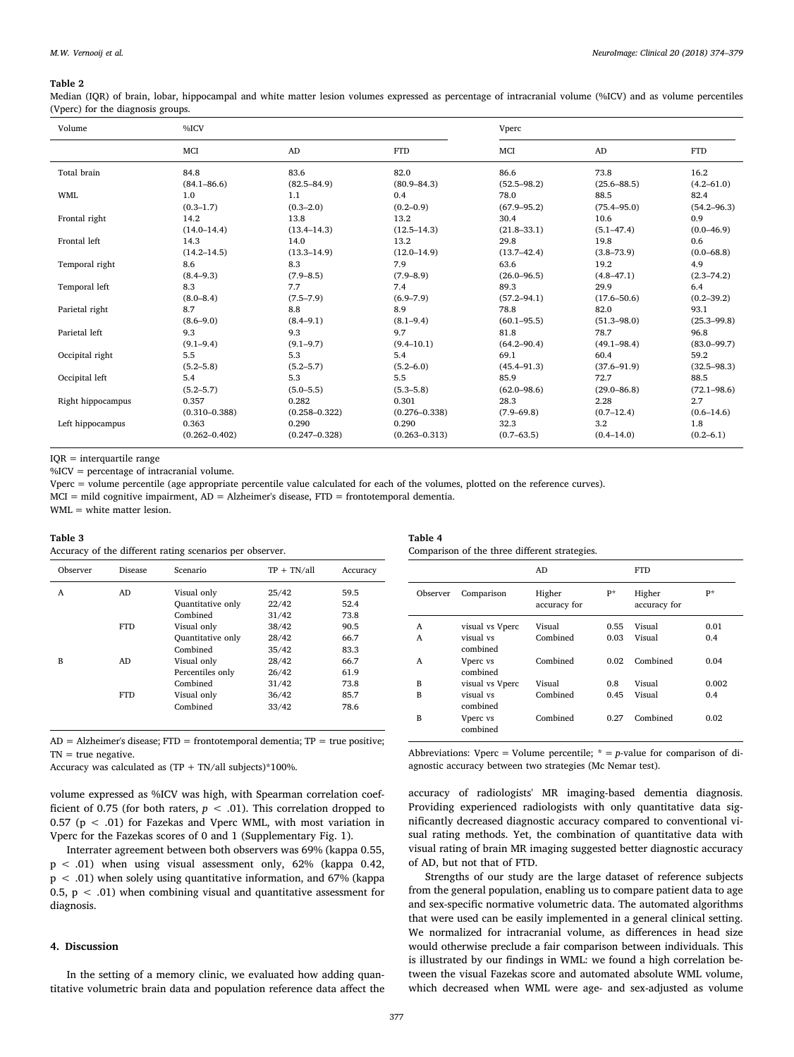#### <span id="page-4-0"></span>Table 2

Median (IQR) of brain, lobar, hippocampal and white matter lesion volumes expressed as percentage of intracranial volume (%ICV) and as volume percentiles (Vperc) for the diagnosis groups.

| Volume            | %ICV              |                   |                   | Vperc           |                 |                 |
|-------------------|-------------------|-------------------|-------------------|-----------------|-----------------|-----------------|
|                   | MCI               | AD                | <b>FTD</b>        | MCI             | AD              | <b>FTD</b>      |
| Total brain       | 84.8              | 83.6              | 82.0              | 86.6            | 73.8            | 16.2            |
|                   | $(84.1 - 86.6)$   | $(82.5 - 84.9)$   | $(80.9 - 84.3)$   | $(52.5 - 98.2)$ | $(25.6 - 88.5)$ | $(4.2 - 61.0)$  |
| <b>WML</b>        | 1.0               | 1.1               | 0.4               | 78.0            | 88.5            | 82.4            |
|                   | $(0.3 - 1.7)$     | $(0.3 - 2.0)$     | $(0.2 - 0.9)$     | $(67.9 - 95.2)$ | $(75.4 - 95.0)$ | $(54.2 - 96.3)$ |
| Frontal right     | 14.2              | 13.8              | 13.2              | 30.4            | 10.6            | 0.9             |
|                   | $(14.0 - 14.4)$   | $(13.4 - 14.3)$   | $(12.5 - 14.3)$   | $(21.8 - 33.1)$ | $(5.1 - 47.4)$  | $(0.0 - 46.9)$  |
| Frontal left      | 14.3              | 14.0              | 13.2              | 29.8            | 19.8            | 0.6             |
|                   | $(14.2 - 14.5)$   | $(13.3 - 14.9)$   | $(12.0 - 14.9)$   | $(13.7 - 42.4)$ | $(3.8 - 73.9)$  | $(0.0 - 68.8)$  |
| Temporal right    | 8.6               | 8.3               | 7.9               | 63.6            | 19.2            | 4.9             |
|                   | $(8.4 - 9.3)$     | $(7.9 - 8.5)$     | $(7.9 - 8.9)$     | $(26.0 - 96.5)$ | $(4.8 - 47.1)$  | $(2.3 - 74.2)$  |
| Temporal left     | 8.3               | 7.7               | 7.4               | 89.3            | 29.9            | 6.4             |
|                   | $(8.0 - 8.4)$     | $(7.5 - 7.9)$     | $(6.9 - 7.9)$     | $(57.2 - 94.1)$ | $(17.6 - 50.6)$ | $(0.2 - 39.2)$  |
| Parietal right    | 8.7               | 8.8               | 8.9               | 78.8            | 82.0            | 93.1            |
|                   | $(8.6 - 9.0)$     | $(8.4 - 9.1)$     | $(8.1 - 9.4)$     | $(60.1 - 95.5)$ | $(51.3 - 98.0)$ | $(25.3 - 99.8)$ |
| Parietal left     | 9.3               | 9.3               | 9.7               | 81.8            | 78.7            | 96.8            |
|                   | $(9.1 - 9.4)$     | $(9.1 - 9.7)$     | $(9.4 - 10.1)$    | $(64.2 - 90.4)$ | $(49.1 - 98.4)$ | $(83.0 - 99.7)$ |
| Occipital right   | 5.5               | 5.3               | 5.4               | 69.1            | 60.4            | 59.2            |
|                   | $(5.2 - 5.8)$     | $(5.2 - 5.7)$     | $(5.2 - 6.0)$     | $(45.4 - 91.3)$ | $(37.6 - 91.9)$ | $(32.5 - 98.3)$ |
| Occipital left    | 5.4               | 5.3               | 5.5               | 85.9            | 72.7            | 88.5            |
|                   | $(5.2 - 5.7)$     | $(5.0 - 5.5)$     | $(5.3 - 5.8)$     | $(62.0 - 98.6)$ | $(29.0 - 86.8)$ | $(72.1 - 98.6)$ |
| Right hippocampus | 0.357             | 0.282             | 0.301             | 28.3            | 2.28            | 2.7             |
|                   | $(0.310 - 0.388)$ | $(0.258 - 0.322)$ | $(0.276 - 0.338)$ | $(7.9 - 69.8)$  | $(0.7-12.4)$    | $(0.6 - 14.6)$  |
| Left hippocampus  | 0.363             | 0.290             | 0.290             | 32.3            | 3.2             | 1.8             |
|                   | $(0.262 - 0.402)$ | $(0.247 - 0.328)$ | $(0.263 - 0.313)$ | $(0.7 - 63.5)$  | $(0.4 - 14.0)$  | $(0.2 - 6.1)$   |

<span id="page-4-2"></span>Table 4

 $IOR =$  interquartile range

 $\%$ ICV = percentage of intracranial volume.

Vperc = volume percentile (age appropriate percentile value calculated for each of the volumes, plotted on the reference curves).

 $MCI$  = mild cognitive impairment,  $AD$  = Alzheimer's disease,  $FTD$  = frontotemporal dementia.

 $WMI = white matter lesion.$ 

# <span id="page-4-1"></span>Table 3

| Observer | <b>Disease</b> | Scenario          | $TP + TN/all$ | Accuracy |
|----------|----------------|-------------------|---------------|----------|
| A        | AD             | Visual only       | 25/42         | 59.5     |
|          |                | Quantitative only | 22/42         | 52.4     |
|          |                | Combined          | 31/42         | 73.8     |
|          | <b>FTD</b>     | Visual only       | 38/42         | 90.5     |
|          |                | Quantitative only | 28/42         | 66.7     |
|          |                | Combined          | 35/42         | 83.3     |
| B        | AD.            | Visual only       | 28/42         | 66.7     |
|          |                | Percentiles only  | 26/42         | 61.9     |
|          |                | Combined          | 31/42         | 73.8     |
|          | <b>FTD</b>     | Visual only       | 36/42         | 85.7     |
|          |                | Combined          | 33/42         | 78.6     |

 $AD = Alzheimer's disease; FTD = frontotemporal dementia; TP = true positive;$  $TN = true$  negative.

Accuracy was calculated as  $(TP + TN/all \text{ subjects})*100\%$ .

volume expressed as %ICV was high, with Spearman correlation coefficient of 0.75 (for both raters,  $p < .01$ ). This correlation dropped to 0.57 ( $p < .01$ ) for Fazekas and Vperc WML, with most variation in Vperc for the Fazekas scores of 0 and 1 (Supplementary Fig. 1).

Interrater agreement between both observers was 69% (kappa 0.55,  $p < .01$ ) when using visual assessment only, 62% (kappa 0.42,  $p < .01$ ) when solely using quantitative information, and 67% (kappa 0.5,  $p < .01$ ) when combining visual and quantitative assessment for diagnosis.

### 4. Discussion

In the setting of a memory clinic, we evaluated how adding quantitative volumetric brain data and population reference data affect the

| Comparison of the three different strategies. |                       |                        |      |                        |       |
|-----------------------------------------------|-----------------------|------------------------|------|------------------------|-------|
|                                               |                       | AD.                    |      | <b>FTD</b>             |       |
| Observer                                      | Comparison            | Higher<br>accuracy for | P*   | Higher<br>accuracy for | p*    |
| A                                             | visual vs Vperc       | Visual                 | 0.55 | Visual                 | 0.01  |
| A                                             | visual vs<br>combined | Combined               | 0.03 | Visual                 | 0.4   |
| A                                             | Vperc vs<br>combined  | Combined               | 0.02 | Combined               | 0.04  |
| B                                             | visual vs Vperc       | Visual                 | 0.8  | Visual                 | 0.002 |
| B                                             | visual vs<br>combined | Combined               | 0.45 | Visual                 | 0.4   |
| B                                             | Vperc vs<br>combined  | Combined               | 0.27 | Combined               | 0.02  |

Abbreviations: Vperc = Volume percentile;  $* = p$ -value for comparison of diagnostic accuracy between two strategies (Mc Nemar test).

accuracy of radiologists' MR imaging-based dementia diagnosis. Providing experienced radiologists with only quantitative data significantly decreased diagnostic accuracy compared to conventional visual rating methods. Yet, the combination of quantitative data with visual rating of brain MR imaging suggested better diagnostic accuracy of AD, but not that of FTD.

Strengths of our study are the large dataset of reference subjects from the general population, enabling us to compare patient data to age and sex-specific normative volumetric data. The automated algorithms that were used can be easily implemented in a general clinical setting. We normalized for intracranial volume, as differences in head size would otherwise preclude a fair comparison between individuals. This is illustrated by our findings in WML: we found a high correlation between the visual Fazekas score and automated absolute WML volume, which decreased when WML were age- and sex-adjusted as volume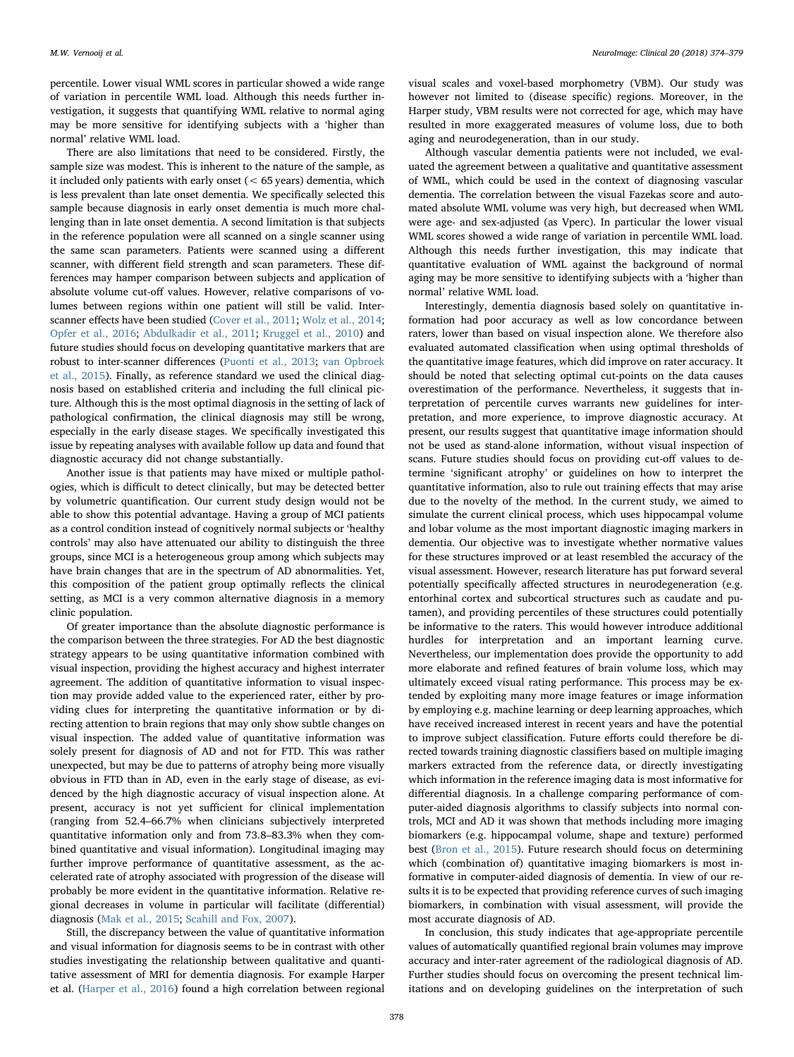percentile. Lower visual WML scores in particular showed a wide range of variation in percentile WML load. Although this needs further investigation, it suggests that quantifying WML relative to normal aging may be more sensitive for identifying subjects with a 'higher than normal' relative WML load.

There are also limitations that need to be considered. Firstly, the sample size was modest. This is inherent to the nature of the sample, as it included only patients with early onset (< 65 years) dementia, which is less prevalent than late onset dementia. We specifically selected this sample because diagnosis in early onset dementia is much more challenging than in late onset dementia. A second limitation is that subjects in the reference population were all scanned on a single scanner using the same scan parameters. Patients were scanned using a different scanner, with different field strength and scan parameters. These differences may hamper comparison between subjects and application of absolute volume cut-off values. However, relative comparisons of volumes between regions within one patient will still be valid. Interscanner effects have been studied [\(Cover et al., 2011](#page-6-28); [Wolz et al., 2014](#page-6-29); [Opfer et al., 2016](#page-6-30); [Abdulkadir et al., 2011;](#page-6-31) [Kruggel et al., 2010](#page-6-32)) and future studies should focus on developing quantitative markers that are robust to inter-scanner differences ([Puonti et al., 2013;](#page-6-33) [van Opbroek](#page-6-34) [et al., 2015\)](#page-6-34). Finally, as reference standard we used the clinical diagnosis based on established criteria and including the full clinical picture. Although this is the most optimal diagnosis in the setting of lack of pathological confirmation, the clinical diagnosis may still be wrong, especially in the early disease stages. We specifically investigated this issue by repeating analyses with available follow up data and found that diagnostic accuracy did not change substantially.

Another issue is that patients may have mixed or multiple pathologies, which is difficult to detect clinically, but may be detected better by volumetric quantification. Our current study design would not be able to show this potential advantage. Having a group of MCI patients as a control condition instead of cognitively normal subjects or 'healthy controls' may also have attenuated our ability to distinguish the three groups, since MCI is a heterogeneous group among which subjects may have brain changes that are in the spectrum of AD abnormalities. Yet, this composition of the patient group optimally reflects the clinical setting, as MCI is a very common alternative diagnosis in a memory clinic population.

Of greater importance than the absolute diagnostic performance is the comparison between the three strategies. For AD the best diagnostic strategy appears to be using quantitative information combined with visual inspection, providing the highest accuracy and highest interrater agreement. The addition of quantitative information to visual inspection may provide added value to the experienced rater, either by providing clues for interpreting the quantitative information or by directing attention to brain regions that may only show subtle changes on visual inspection. The added value of quantitative information was solely present for diagnosis of AD and not for FTD. This was rather unexpected, but may be due to patterns of atrophy being more visually obvious in FTD than in AD, even in the early stage of disease, as evidenced by the high diagnostic accuracy of visual inspection alone. At present, accuracy is not yet sufficient for clinical implementation (ranging from 52.4–66.7% when clinicians subjectively interpreted quantitative information only and from 73.8–83.3% when they combined quantitative and visual information). Longitudinal imaging may further improve performance of quantitative assessment, as the accelerated rate of atrophy associated with progression of the disease will probably be more evident in the quantitative information. Relative regional decreases in volume in particular will facilitate (differential) diagnosis [\(Mak et al., 2015;](#page-6-35) [Scahill and Fox, 2007](#page-6-36)).

Still, the discrepancy between the value of quantitative information and visual information for diagnosis seems to be in contrast with other studies investigating the relationship between qualitative and quantitative assessment of MRI for dementia diagnosis. For example Harper et al. ([Harper et al., 2016\)](#page-6-37) found a high correlation between regional

visual scales and voxel-based morphometry (VBM). Our study was however not limited to (disease specific) regions. Moreover, in the Harper study, VBM results were not corrected for age, which may have resulted in more exaggerated measures of volume loss, due to both aging and neurodegeneration, than in our study.

Although vascular dementia patients were not included, we evaluated the agreement between a qualitative and quantitative assessment of WML, which could be used in the context of diagnosing vascular dementia. The correlation between the visual Fazekas score and automated absolute WML volume was very high, but decreased when WML were age- and sex-adjusted (as Vperc). In particular the lower visual WML scores showed a wide range of variation in percentile WML load. Although this needs further investigation, this may indicate that quantitative evaluation of WML against the background of normal aging may be more sensitive to identifying subjects with a 'higher than normal' relative WML load.

Interestingly, dementia diagnosis based solely on quantitative information had poor accuracy as well as low concordance between raters, lower than based on visual inspection alone. We therefore also evaluated automated classification when using optimal thresholds of the quantitative image features, which did improve on rater accuracy. It should be noted that selecting optimal cut-points on the data causes overestimation of the performance. Nevertheless, it suggests that interpretation of percentile curves warrants new guidelines for interpretation, and more experience, to improve diagnostic accuracy. At present, our results suggest that quantitative image information should not be used as stand-alone information, without visual inspection of scans. Future studies should focus on providing cut-off values to determine 'significant atrophy' or guidelines on how to interpret the quantitative information, also to rule out training effects that may arise due to the novelty of the method. In the current study, we aimed to simulate the current clinical process, which uses hippocampal volume and lobar volume as the most important diagnostic imaging markers in dementia. Our objective was to investigate whether normative values for these structures improved or at least resembled the accuracy of the visual assessment. However, research literature has put forward several potentially specifically affected structures in neurodegeneration (e.g. entorhinal cortex and subcortical structures such as caudate and putamen), and providing percentiles of these structures could potentially be informative to the raters. This would however introduce additional hurdles for interpretation and an important learning curve. Nevertheless, our implementation does provide the opportunity to add more elaborate and refined features of brain volume loss, which may ultimately exceed visual rating performance. This process may be extended by exploiting many more image features or image information by employing e.g. machine learning or deep learning approaches, which have received increased interest in recent years and have the potential to improve subject classification. Future efforts could therefore be directed towards training diagnostic classifiers based on multiple imaging markers extracted from the reference data, or directly investigating which information in the reference imaging data is most informative for differential diagnosis. In a challenge comparing performance of computer-aided diagnosis algorithms to classify subjects into normal controls, MCI and AD it was shown that methods including more imaging biomarkers (e.g. hippocampal volume, shape and texture) performed best ([Bron et al., 2015](#page-6-38)). Future research should focus on determining which (combination of) quantitative imaging biomarkers is most informative in computer-aided diagnosis of dementia. In view of our results it is to be expected that providing reference curves of such imaging biomarkers, in combination with visual assessment, will provide the most accurate diagnosis of AD.

In conclusion, this study indicates that age-appropriate percentile values of automatically quantified regional brain volumes may improve accuracy and inter-rater agreement of the radiological diagnosis of AD. Further studies should focus on overcoming the present technical limitations and on developing guidelines on the interpretation of such